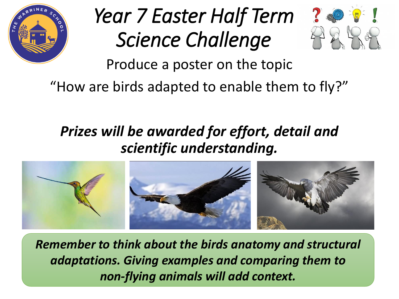

# *Year 7 Easter Half Term Science Challenge*



Produce a poster on the topic

"How are birds adapted to enable them to fly?"

### *Prizes will be awarded for effort, detail and scientific understanding.*



*Remember to think about the birds anatomy and structural adaptations. Giving examples and comparing them to non-flying animals will add context.*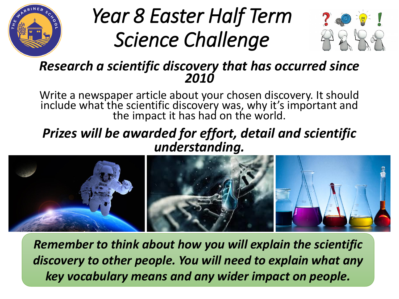

## *Year 8 Easter Half Term Science Challenge*



#### *Research a scientific discovery that has occurred since 2010*

Write a newspaper article about your chosen discovery. It should include what the scientific discovery was, why it's important and the impact it has had on the world.

### *Prizes will be awarded for effort, detail and scientific understanding.*



*Remember to think about how you will explain the scientific discovery to other people. You will need to explain what any key vocabulary means and any wider impact on people.*